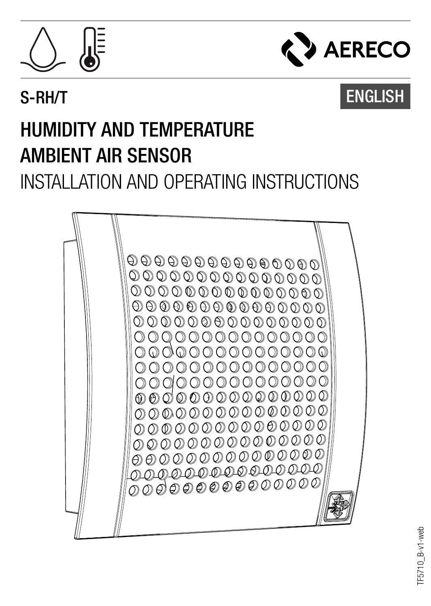



# S-RH/T ENGLISH

# HUMIDITY AND TEMPERATURE AMBIENT AIR SENSOR INSTALLATION AND OPERATING INSTRUCTIONS

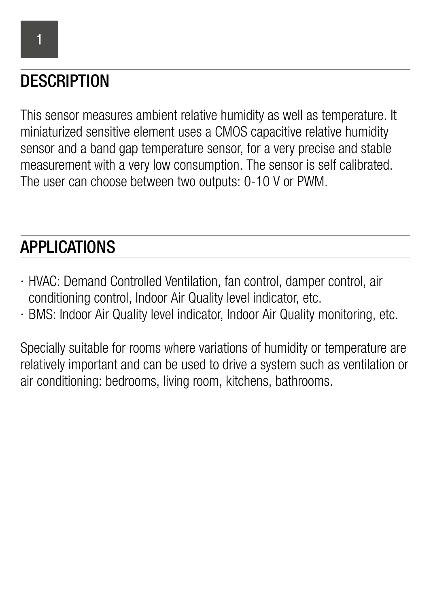## **DESCRIPTION**

This sensor measures ambient relative humidity as well as temperature. It miniaturized sensitive element uses a CMOS capacitive relative humidity sensor and a band gap temperature sensor, for a very precise and stable measurement with a very low consumption. The sensor is self calibrated. The user can choose between two outputs: 0-10 V or PWM.

## APPLICATIONS

- ∙ HVAC: Demand Controlled Ventilation, fan control, damper control, air conditioning control, Indoor Air Quality level indicator, etc.
- ∙ BMS: Indoor Air Quality level indicator, Indoor Air Quality monitoring, etc.

Specially suitable for rooms where variations of humidity or temperature are relatively important and can be used to drive a system such as ventilation or air conditioning: bedrooms, living room, kitchens, bathrooms.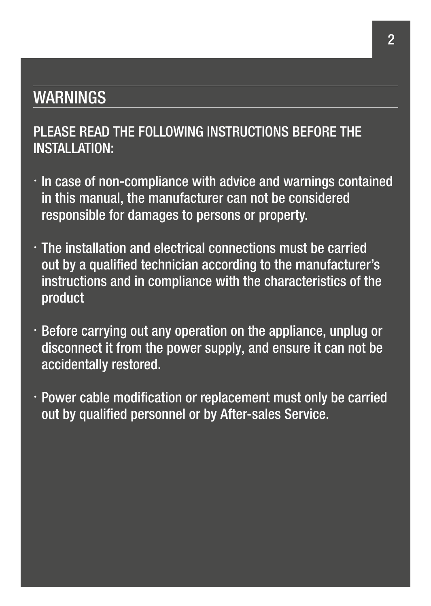#### WARNINGS

#### PLEASE READ THE FOLLOWING INSTRUCTIONS BEFORE THE INSTALLATION:

- ∙ In case of non-compliance with advice and warnings contained in this manual, the manufacturer can not be considered responsible for damages to persons or property.
- ∙ The installation and electrical connections must be carried out by a qualified technician according to the manufacturer's instructions and in compliance with the characteristics of the product
- ∙ Before carrying out any operation on the appliance, unplug or disconnect it from the power supply, and ensure it can not be accidentally restored.
- ∙ Power cable modification or replacement must only be carried out by qualified personnel or by After-sales Service.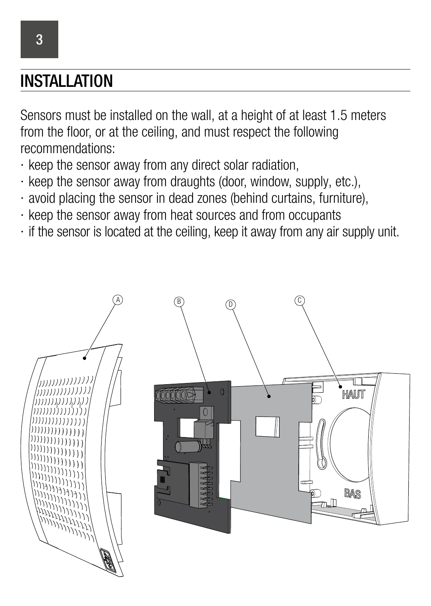#### **INSTALLATION**

Sensors must be installed on the wall, at a height of at least 1.5 meters from the floor, or at the ceiling, and must respect the following recommendations:

- ∙ keep the sensor away from any direct solar radiation,
- ∙ keep the sensor away from draughts (door, window, supply, etc.),
- ∙ avoid placing the sensor in dead zones (behind curtains, furniture),
- ∙ keep the sensor away from heat sources and from occupants
- ∙ if the sensor is located at the ceiling, keep it away from any air supply unit.



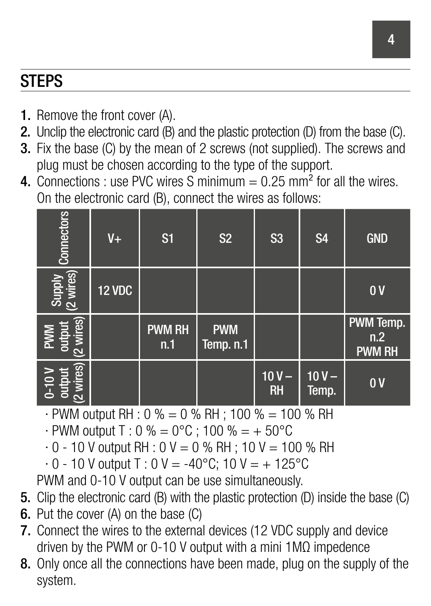## **STEPS**

- 1. Remove the front cover (A).
- 2. Unclip the electronic card (B) and the plastic protection (D) from the base (C).
- 3. Fix the base (C) by the mean of 2 screws (not supplied). The screws and plug must be chosen according to the type of the support.
- 4. Connections : use PVC wires S minimum =  $0.25$  mm<sup>2</sup> for all the wires. On the electronic card (B), connect the wires as follows:

| Connectors                                                | $V_{+}$       | S <sub>1</sub>       | S <sub>2</sub>          | S <sub>3</sub>       | S <sub>4</sub>   | <b>GND</b>                        |
|-----------------------------------------------------------|---------------|----------------------|-------------------------|----------------------|------------------|-----------------------------------|
| Supply<br>(2 wires)                                       | <b>12 VDC</b> |                      |                         |                      |                  | 0V                                |
| wires)<br>output<br><b>PWM</b><br>$\overline{\mathbf{c}}$ |               | <b>PWM RH</b><br>n.1 | <b>PWM</b><br>Temp. n.1 |                      |                  | PWM Temp.<br>n.2<br><b>PWM RH</b> |
| wires)<br>$0-10V$<br>$\overline{\mathbf{c}}$              |               |                      |                         | $10V -$<br><b>RH</b> | $10V -$<br>Temp. | 0V                                |

∙ PWM output RH : 0 % = 0 % RH ; 100 % = 100 % RH

∙ PWM output T : 0 % = 0°C ; 100 % = + 50°C

∙ 0 - 10 V output RH : 0 V = 0 % RH ; 10 V = 100 % RH

∙ 0 - 10 V output T : 0 V = -40°C; 10 V = + 125°C

PWM and 0-10 V output can be use simultaneously.

- 5. Clip the electronic card (B) with the plastic protection (D) inside the base (C)
- 6. Put the cover (A) on the base (C)
- 7. Connect the wires to the external devices (12 VDC supply and device driven by the PWM or 0-10 V output with a mini 1MΩ impedence
- 8. Only once all the connections have been made, plug on the supply of the system.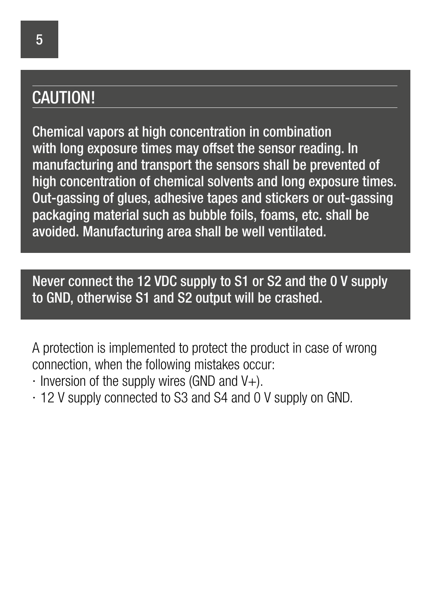#### CAUTION!

Chemical vapors at high concentration in combination with long exposure times may offset the sensor reading. In manufacturing and transport the sensors shall be prevented of high concentration of chemical solvents and long exposure times. Out-gassing of glues, adhesive tapes and stickers or out-gassing packaging material such as bubble foils, foams, etc. shall be avoided. Manufacturing area shall be well ventilated.

Never connect the 12 VDC supply to S1 or S2 and the 0 V supply to GND, otherwise S1 and S2 output will be crashed.

A protection is implemented to protect the product in case of wrong connection, when the following mistakes occur:

- ∙ Inversion of the supply wires (GND and V+).
- ∙ 12 V supply connected to S3 and S4 and 0 V supply on GND.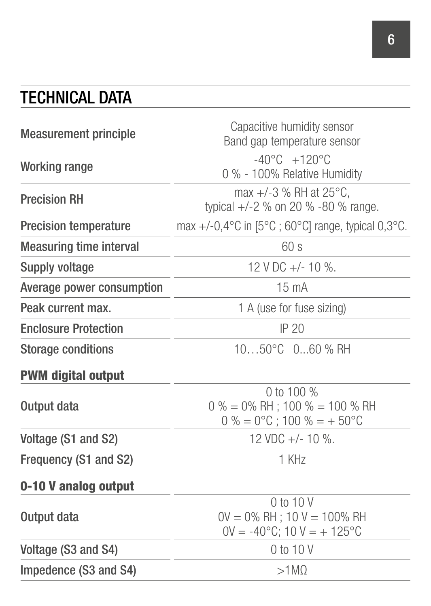# TECHNICAL DATA

| <b>Measurement principle</b>   | Capacitive humidity sensor<br>Band gap temperature sensor                                           |  |  |  |
|--------------------------------|-----------------------------------------------------------------------------------------------------|--|--|--|
| Working range                  | $-40^{\circ}$ C $+120^{\circ}$ C<br>0 % - 100% Relative Humidity                                    |  |  |  |
| <b>Precision RH</b>            | max $+/-3$ % RH at 25 $^{\circ}$ C.<br>typical +/-2 % on 20 % -80 % range.                          |  |  |  |
| <b>Precision temperature</b>   | max +/-0,4 $^{\circ}$ C in [5 $^{\circ}$ C ; 60 $^{\circ}$ C] range, typical 0,3 $^{\circ}$ C.      |  |  |  |
| <b>Measuring time interval</b> | 60s                                                                                                 |  |  |  |
| Supply voltage                 | 12 V DC +/- 10 %.                                                                                   |  |  |  |
| Average power consumption      | $15 \text{ mA}$                                                                                     |  |  |  |
| Peak current max.              | 1 A (use for fuse sizing)                                                                           |  |  |  |
| <b>Enclosure Protection</b>    | IP 20                                                                                               |  |  |  |
| Storage conditions             | $1050^{\circ}$ C $060$ % RH                                                                         |  |  |  |
| <b>PWM digital output</b>      |                                                                                                     |  |  |  |
| Output data                    | 0 to 100 %<br>$0\% = 0\%$ RH ; 100 $\% = 100\%$ RH<br>$0\% = 0\degree C$ ; 100 % = + 50 $\degree C$ |  |  |  |
| Voltage (S1 and S2)            | 12 VDC $+/-$ 10 %.                                                                                  |  |  |  |
| Frequency (S1 and S2)          | 1 KHz                                                                                               |  |  |  |
| 0-10 V analog output           |                                                                                                     |  |  |  |
| Output data                    | $0$ to $10V$<br>$OV = 0\%$ RH : 10 $V = 100\%$ RH<br>$OV = -40°C$ ; 10 $V = +125°C$                 |  |  |  |
| Voltage (S3 and S4)            | $0$ to $10V$                                                                                        |  |  |  |
| Impedence (S3 and S4)          | $>1$ M $\Omega$                                                                                     |  |  |  |